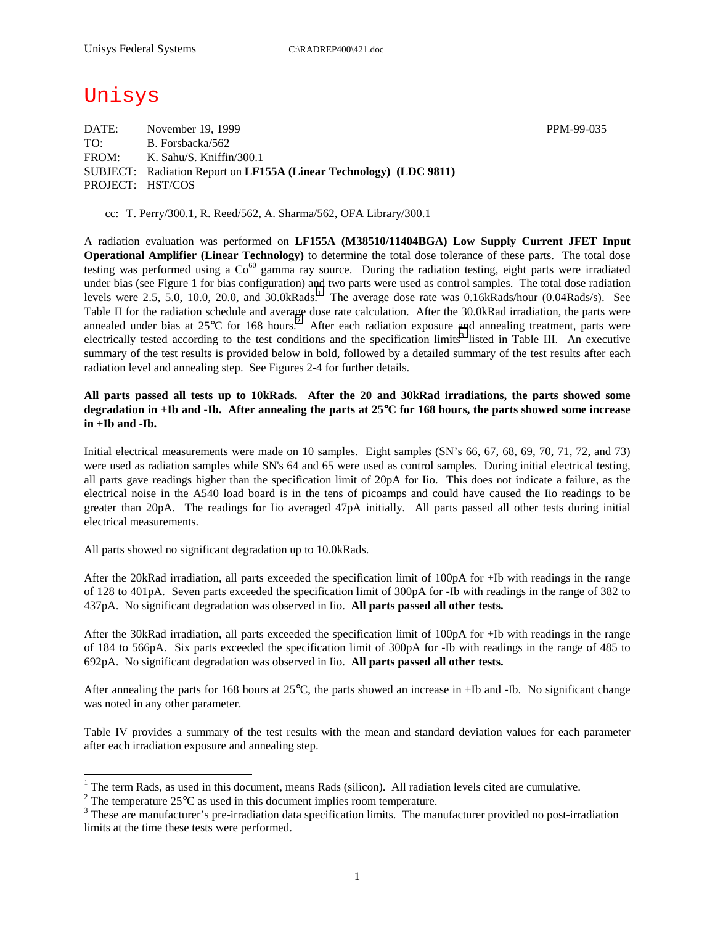# Unisys

 $\overline{a}$ 

DATE: November 19, 1999 November 19, 1999 TO: B. Forsbacka/562 FROM: K. Sahu/S. Kniffin/300.1 SUBJECT: Radiation Report on **LF155A (Linear Technology) (LDC 9811)** PROJECT: HST/COS

cc: T. Perry/300.1, R. Reed/562, A. Sharma/562, OFA Library/300.1

A radiation evaluation was performed on **LF155A (M38510/11404BGA) Low Supply Current JFET Input Operational Amplifier (Linear Technology)** to determine the total dose tolerance of these parts. The total dose testing was performed using a  $Co^{60}$  gamma ray source. During the radiation testing, eight parts were irradiated under bias (see Figure 1 for bias configuration) and two parts were used as control samples. The total dose radiation levels were 2.5, 5.0, 10.0, 20.0, and  $30.0kRads.$ <sup>1</sup> The average dose rate was  $0.16kRads/hour$  (0.04Rads/s). See Table II for the radiation schedule and average dose rate calculation. After the 30.0kRad irradiation, the parts were annealed under bias at  $25^{\circ}$ C for 168 hours.<sup>2</sup> After each radiation exposure and annealing treatment, parts were electrically tested according to the test conditions and the specification limits<sup>3</sup> listed in Table III. An executive summary of the test results is provided below in bold, followed by a detailed summary of the test results after each radiation level and annealing step. See Figures 2-4 for further details.

### **All parts passed all tests up to 10kRads. After the 20 and 30kRad irradiations, the parts showed some degradation in +Ib and -Ib. After annealing the parts at 25**°**C for 168 hours, the parts showed some increase in +Ib and -Ib.**

Initial electrical measurements were made on 10 samples. Eight samples (SN's 66, 67, 68, 69, 70, 71, 72, and 73) were used as radiation samples while SN's 64 and 65 were used as control samples. During initial electrical testing, all parts gave readings higher than the specification limit of 20pA for Iio. This does not indicate a failure, as the electrical noise in the A540 load board is in the tens of picoamps and could have caused the Iio readings to be greater than 20pA. The readings for Iio averaged 47pA initially. All parts passed all other tests during initial electrical measurements.

All parts showed no significant degradation up to 10.0kRads.

After the 20kRad irradiation, all parts exceeded the specification limit of 100pA for +Ib with readings in the range of 128 to 401pA. Seven parts exceeded the specification limit of 300pA for -Ib with readings in the range of 382 to 437pA. No significant degradation was observed in Iio. **All parts passed all other tests.**

After the 30kRad irradiation, all parts exceeded the specification limit of 100pA for +Ib with readings in the range of 184 to 566pA. Six parts exceeded the specification limit of 300pA for -Ib with readings in the range of 485 to 692pA. No significant degradation was observed in Iio. **All parts passed all other tests.**

After annealing the parts for 168 hours at  $25^{\circ}$ C, the parts showed an increase in +Ib and -Ib. No significant change was noted in any other parameter.

Table IV provides a summary of the test results with the mean and standard deviation values for each parameter after each irradiation exposure and annealing step.

<sup>&</sup>lt;sup>1</sup> The term Rads, as used in this document, means Rads (silicon). All radiation levels cited are cumulative.

<sup>&</sup>lt;sup>2</sup> The temperature 25 $^{\circ}$ C as used in this document implies room temperature.  $^3$  These are manufacturer's are irrediction date apositionism limits. The manufacturer's

<sup>&</sup>lt;sup>3</sup> These are manufacturer's pre-irradiation data specification limits. The manufacturer provided no post-irradiation limits at the time these tests were performed.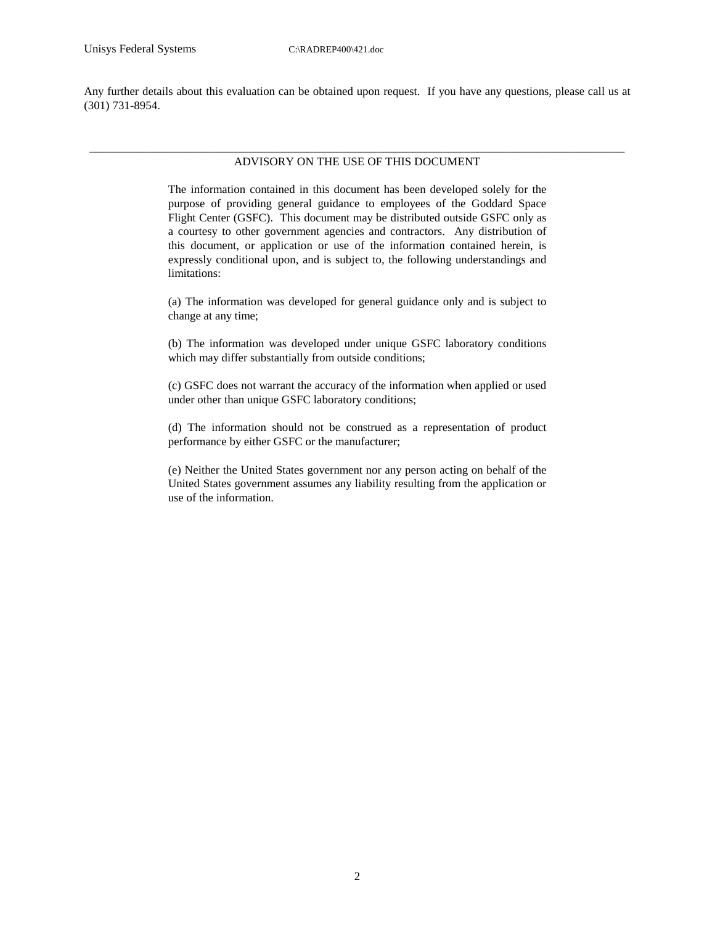Any further details about this evaluation can be obtained upon request. If you have any questions, please call us at (301) 731-8954.

#### \_\_\_\_\_\_\_\_\_\_\_\_\_\_\_\_\_\_\_\_\_\_\_\_\_\_\_\_\_\_\_\_\_\_\_\_\_\_\_\_\_\_\_\_\_\_\_\_\_\_\_\_\_\_\_\_\_\_\_\_\_\_\_\_\_\_\_\_\_\_\_\_\_\_\_\_\_\_\_\_\_\_\_\_\_\_\_\_\_\_\_ ADVISORY ON THE USE OF THIS DOCUMENT

The information contained in this document has been developed solely for the purpose of providing general guidance to employees of the Goddard Space Flight Center (GSFC). This document may be distributed outside GSFC only as a courtesy to other government agencies and contractors. Any distribution of this document, or application or use of the information contained herein, is expressly conditional upon, and is subject to, the following understandings and limitations:

(a) The information was developed for general guidance only and is subject to change at any time;

(b) The information was developed under unique GSFC laboratory conditions which may differ substantially from outside conditions;

(c) GSFC does not warrant the accuracy of the information when applied or used under other than unique GSFC laboratory conditions;

(d) The information should not be construed as a representation of product performance by either GSFC or the manufacturer;

(e) Neither the United States government nor any person acting on behalf of the United States government assumes any liability resulting from the application or use of the information.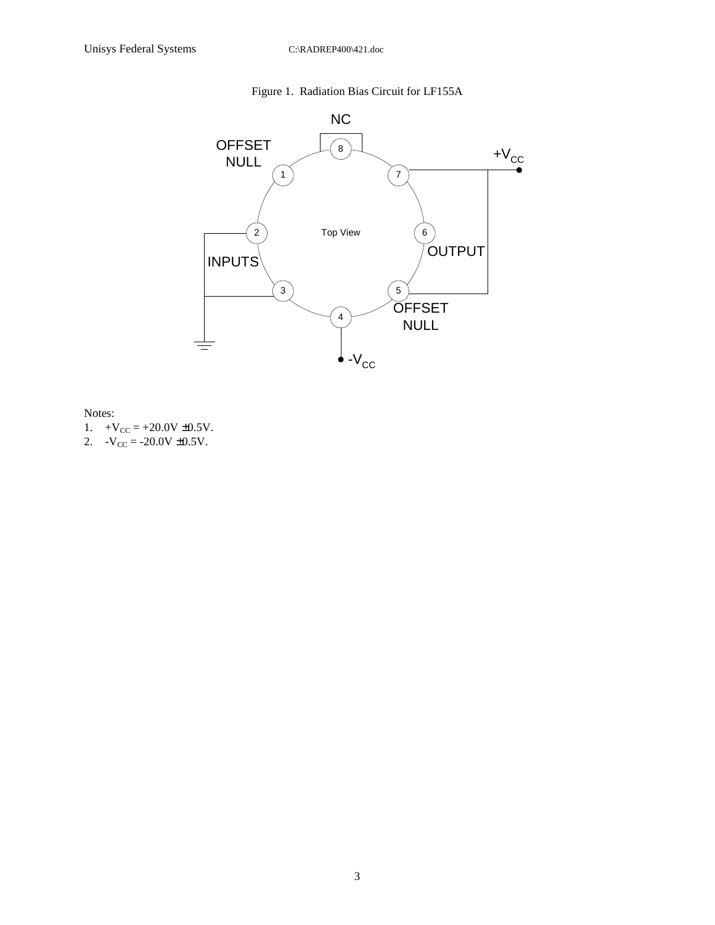## Figure 1. Radiation Bias Circuit for LF155A



Notes:

- 1.  $+V_{CC} = +20.0V \pm 0.5V$ .
- 2.  $-V_{CC} = -20.0V \pm 0.5V$ .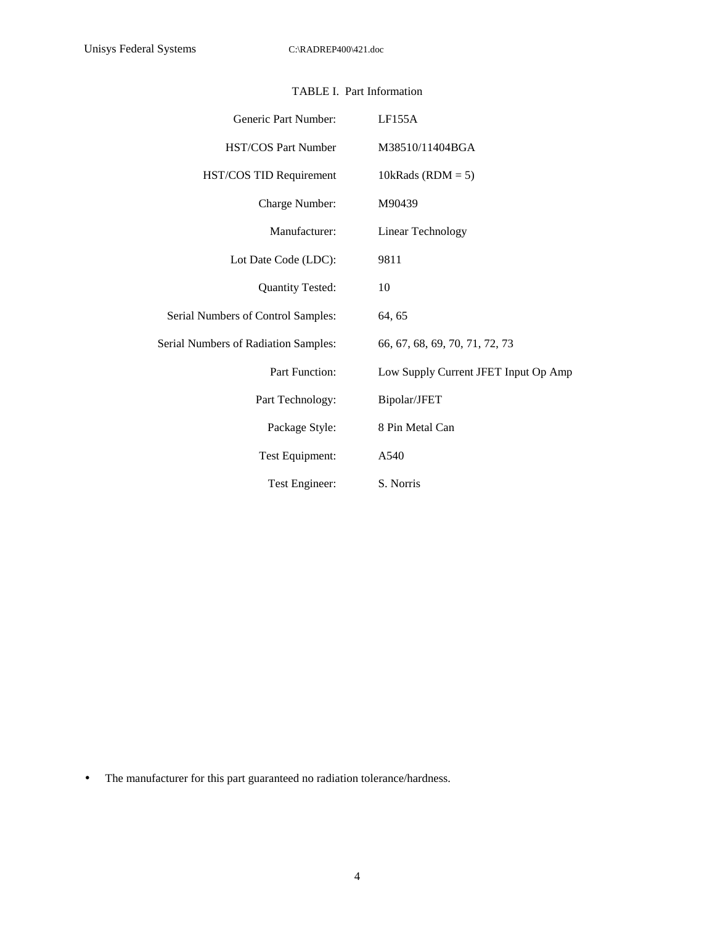| Generic Part Number:                 | LF155A                               |  |  |  |  |  |  |
|--------------------------------------|--------------------------------------|--|--|--|--|--|--|
| <b>HST/COS Part Number</b>           | M38510/11404BGA                      |  |  |  |  |  |  |
| HST/COS TID Requirement              | 10kRads (RDM = $5$ )                 |  |  |  |  |  |  |
| Charge Number:                       | M90439                               |  |  |  |  |  |  |
| Manufacturer:                        | Linear Technology                    |  |  |  |  |  |  |
| Lot Date Code (LDC):                 | 9811                                 |  |  |  |  |  |  |
| <b>Quantity Tested:</b>              | 10                                   |  |  |  |  |  |  |
| Serial Numbers of Control Samples:   | 64, 65                               |  |  |  |  |  |  |
| Serial Numbers of Radiation Samples: | 66, 67, 68, 69, 70, 71, 72, 73       |  |  |  |  |  |  |
| Part Function:                       | Low Supply Current JFET Input Op Amp |  |  |  |  |  |  |
| Part Technology:                     | Bipolar/JFET                         |  |  |  |  |  |  |
| Package Style:                       | 8 Pin Metal Can                      |  |  |  |  |  |  |
| Test Equipment:                      | A540                                 |  |  |  |  |  |  |
| Test Engineer:                       | S. Norris                            |  |  |  |  |  |  |

## TABLE I. Part Information

• The manufacturer for this part guaranteed no radiation tolerance/hardness.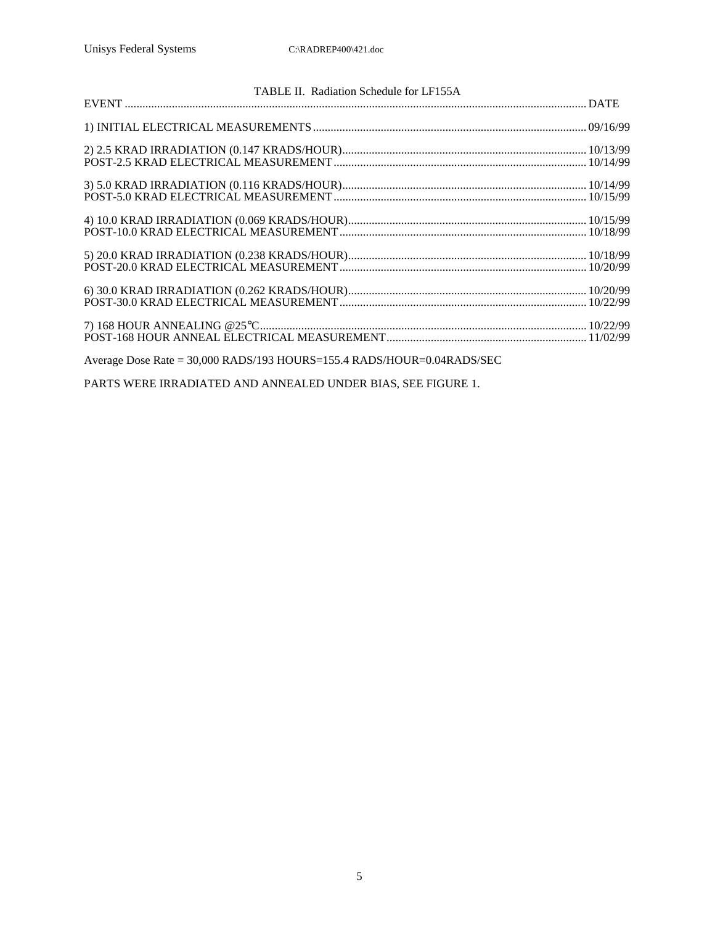| TABLE II. Radiation Schedule for LF155A                                |  |
|------------------------------------------------------------------------|--|
|                                                                        |  |
|                                                                        |  |
|                                                                        |  |
|                                                                        |  |
|                                                                        |  |
|                                                                        |  |
|                                                                        |  |
|                                                                        |  |
|                                                                        |  |
|                                                                        |  |
|                                                                        |  |
|                                                                        |  |
|                                                                        |  |
|                                                                        |  |
| Average Dose Rate = 30,000 RADS/193 HOURS=155.4 RADS/HOUR=0.04RADS/SEC |  |
|                                                                        |  |

PARTS WERE IRRADIATED AND ANNEALED UNDER BIAS, SEE FIGURE 1.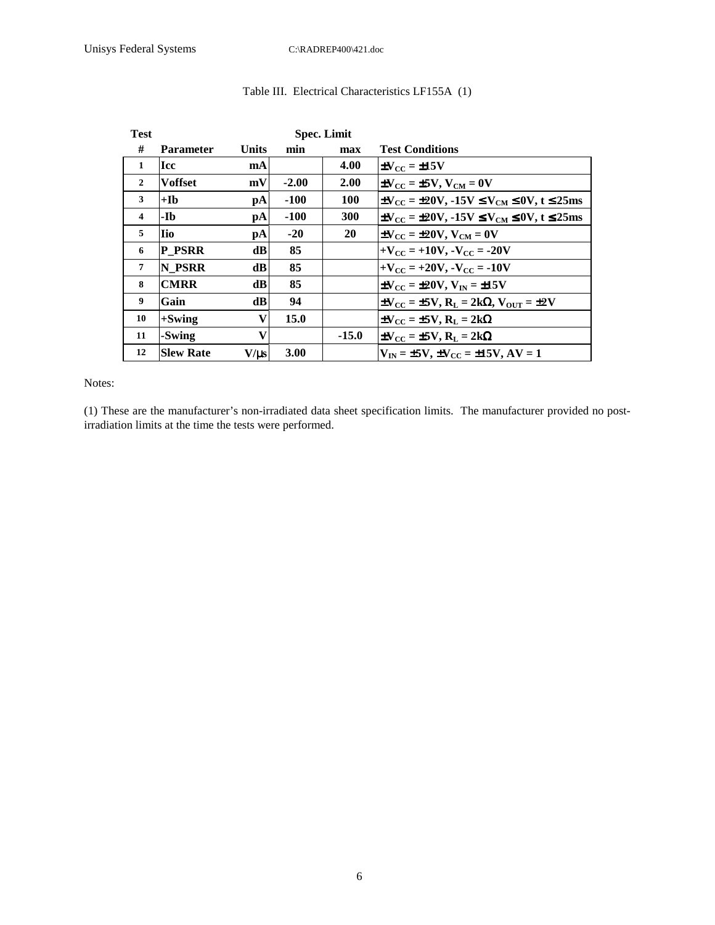| <b>Test</b>  |                  |              |             | <b>Spec. Limit</b> |                                                                                    |
|--------------|------------------|--------------|-------------|--------------------|------------------------------------------------------------------------------------|
| #            | <b>Parameter</b> | Units        | min         | max                | <b>Test Conditions</b>                                                             |
| $\mathbf{1}$ | <b>Icc</b>       | mA           |             | 4.00               | $\pm V_{\rm cc}$ = $\pm 15 V$                                                      |
| $\mathbf{2}$ | <b>Voffset</b>   | mV           | $-2.00$     | 2.00               | $\pm V_{\rm CC}$ = $\pm 5V$ , $V_{\rm CM}$ = 0V                                    |
| 3            | $+Ib$            | pA           | $-100$      | 100                | $\pm V_{\rm CC}$ = $\pm 20V$ , -15V $\leq V_{\rm CM} \leq 0V$ , t $\leq 25$ ms     |
| 4            | -Ib              | pA           | $-100$      | 300                | $\pm V_{\rm CC}$ = $\pm 20V$ , -15V $\leq V_{\rm CM} \leq 0V$ , t $\leq 25$ ms     |
| 5            | lio              | pA           | $-20$       | 20                 | $\pm V_{\rm CC}$ = $\pm 20 V$ , $V_{\rm CM}$ = 0V                                  |
| 6            | <b>P PSRR</b>    | dBl          | 85          |                    | $+V_{CC}$ = +10V, $-V_{CC}$ = -20V                                                 |
| 7            | N PSRR           | dB           | 85          |                    | $+V_{CC}$ = +20V, $-V_{CC}$ = -10V                                                 |
| 8            | <b>CMRR</b>      | dB           | 85          |                    | $\pm V_{CC}$ = $\pm 20V$ , $V_{IN}$ = $\pm 15V$                                    |
| 9            | Gain             | dBl          | 94          |                    | $\pm V_{\rm CC}$ = $\pm 5V$ , $R_{\rm L}$ = 2k $\Omega$ , $V_{\rm OUT}$ = $\pm 2V$ |
| 10           | $+Swing$         | $\mathbf{V}$ | 15.0        |                    | $\pm V_{CC} = \pm 5V$ , $R_{L} = 2k\Omega$                                         |
| 11           | -Swing           | V            |             | $-15.0$            | $\pm V_{\rm CC} = \pm 5V$ , $R_{\rm L} = 2k\Omega$                                 |
| 12           | <b>Slew Rate</b> | $V/\mu s$    | <b>3.00</b> |                    | $V_{\text{IN}} = \pm 5V$ , $\pm V_{\text{CC}} = \pm 15V$ , $AV = 1$                |

## Table III. Electrical Characteristics LF155A (1)

#### Notes:

(1) These are the manufacturer's non-irradiated data sheet specification limits. The manufacturer provided no postirradiation limits at the time the tests were performed.